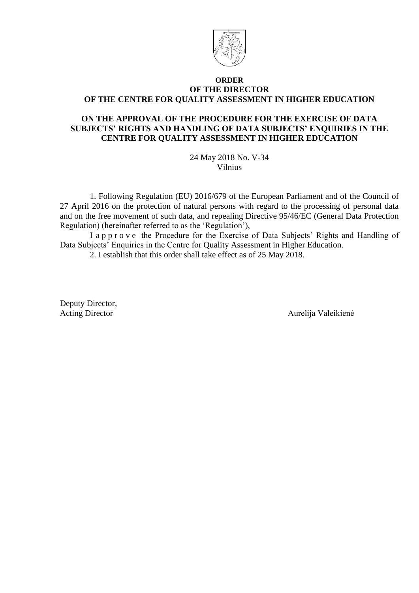

#### **ORDER OF THE DIRECTOR OF THE CENTRE FOR QUALITY ASSESSMENT IN HIGHER EDUCATION**

### **ON THE APPROVAL OF THE PROCEDURE FOR THE EXERCISE OF DATA SUBJECTS' RIGHTS AND HANDLING OF DATA SUBJECTS' ENQUIRIES IN THE CENTRE FOR QUALITY ASSESSMENT IN HIGHER EDUCATION**

24 May 2018 No. V-34 Vilnius

1. Following Regulation (EU) 2016/679 of the European Parliament and of the Council of 27 April 2016 on the protection of natural persons with regard to the processing of personal data and on the free movement of such data, and repealing Directive 95/46/EC (General Data Protection Regulation) (hereinafter referred to as the 'Regulation'),

I a p p r o v e the Procedure for the Exercise of Data Subjects' Rights and Handling of Data Subjects' Enquiries in the Centre for Quality Assessment in Higher Education.

2. I establish that this order shall take effect as of 25 May 2018.

Deputy Director,

Acting Director **Aurelija Valeikienė**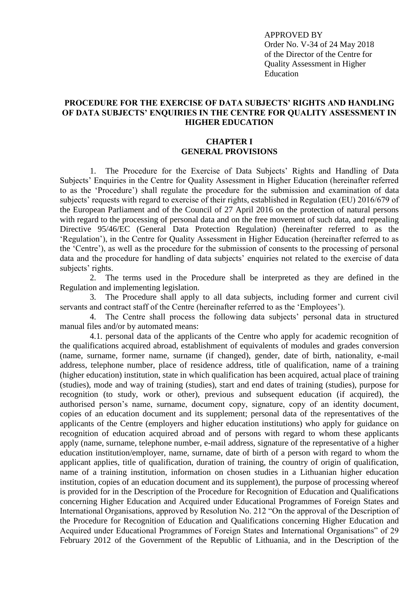APPROVED BY Order No. V-34 of 24 May 2018 of the Director of the Centre for Quality Assessment in Higher Education

#### **PROCEDURE FOR THE EXERCISE OF DATA SUBJECTS' RIGHTS AND HANDLING OF DATA SUBJECTS' ENQUIRIES IN THE CENTRE FOR QUALITY ASSESSMENT IN HIGHER EDUCATION**

#### **CHAPTER I GENERAL PROVISIONS**

1. The Procedure for the Exercise of Data Subjects' Rights and Handling of Data Subjects' Enquiries in the Centre for Quality Assessment in Higher Education (hereinafter referred to as the 'Procedure') shall regulate the procedure for the submission and examination of data subjects' requests with regard to exercise of their rights, established in Regulation (EU) 2016/679 of the European Parliament and of the Council of 27 April 2016 on the protection of natural persons with regard to the processing of personal data and on the free movement of such data, and repealing Directive 95/46/EC (General Data Protection Regulation) (hereinafter referred to as the 'Regulation'), in the Centre for Quality Assessment in Higher Education (hereinafter referred to as the 'Centre'), as well as the procedure for the submission of consents to the processing of personal data and the procedure for handling of data subjects' enquiries not related to the exercise of data subjects' rights.

2. The terms used in the Procedure shall be interpreted as they are defined in the Regulation and implementing legislation.

3. The Procedure shall apply to all data subjects, including former and current civil servants and contract staff of the Centre (hereinafter referred to as the 'Employees').

4. The Centre shall process the following data subjects' personal data in structured manual files and/or by automated means:

4.1. personal data of the applicants of the Centre who apply for academic recognition of the qualifications acquired abroad, establishment of equivalents of modules and grades conversion (name, surname, former name, surname (if changed), gender, date of birth, nationality, e-mail address, telephone number, place of residence address, title of qualification, name of a training (higher education) institution, state in which qualification has been acquired, actual place of training (studies), mode and way of training (studies), start and end dates of training (studies), purpose for recognition (to study, work or other), previous and subsequent education (if acquired), the authorised person's name, surname, document copy, signature, copy of an identity document, copies of an education document and its supplement; personal data of the representatives of the applicants of the Centre (employers and higher education institutions) who apply for guidance on recognition of education acquired abroad and of persons with regard to whom these applicants apply (name, surname, telephone number, e-mail address, signature of the representative of a higher education institution/employer, name, surname, date of birth of a person with regard to whom the applicant applies, title of qualification, duration of training, the country of origin of qualification, name of a training institution, information on chosen studies in a Lithuanian higher education institution, copies of an education document and its supplement), the purpose of processing whereof is provided for in the Description of the Procedure for Recognition of Education and Qualifications concerning Higher Education and Acquired under Educational Programmes of Foreign States and International Organisations, approved by Resolution No. 212 "On the approval of the Description of the Procedure for Recognition of Education and Qualifications concerning Higher Education and Acquired under Educational Programmes of Foreign States and International Organisations" of 29 February 2012 of the Government of the Republic of Lithuania, and in the Description of the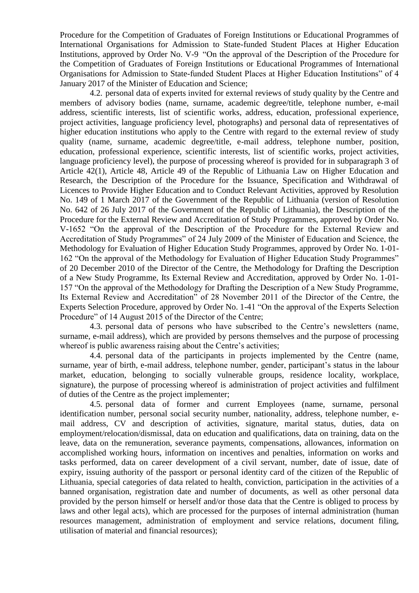Procedure for the Competition of Graduates of Foreign Institutions or Educational Programmes of International Organisations for Admission to State-funded Student Places at Higher Education Institutions, approved by Order No. V-9 "On the approval of the Description of the Procedure for the Competition of Graduates of Foreign Institutions or Educational Programmes of International Organisations for Admission to State-funded Student Places at Higher Education Institutions" of 4 January 2017 of the Minister of Education and Science;

4.2. personal data of experts invited for external reviews of study quality by the Centre and members of advisory bodies (name, surname, academic degree/title, telephone number, e-mail address, scientific interests, list of scientific works, address, education, professional experience, project activities, language proficiency level, photographs) and personal data of representatives of higher education institutions who apply to the Centre with regard to the external review of study quality (name, surname, academic degree/title, e-mail address, telephone number, position, education, professional experience, scientific interests, list of scientific works, project activities, language proficiency level), the purpose of processing whereof is provided for in subparagraph 3 of Article 42(1), Article 48, Article 49 of the Republic of Lithuania Law on Higher Education and Research, the Description of the Procedure for the Issuance, Specification and Withdrawal of Licences to Provide Higher Education and to Conduct Relevant Activities, approved by Resolution No. 149 of 1 March 2017 of the Government of the Republic of Lithuania (version of Resolution No. 642 of 26 July 2017 of the Government of the Republic of Lithuania), the Description of the Procedure for the External Review and Accreditation of Study Programmes, approved by Order No. V-1652 "On the approval of the Description of the Procedure for the External Review and Accreditation of Study Programmes" of 24 July 2009 of the Minister of Education and Science, the Methodology for Evaluation of Higher Education Study Programmes, approved by Order No. 1-01- 162 "On the approval of the Methodology for Evaluation of Higher Education Study Programmes" of 20 December 2010 of the Director of the Centre, the Methodology for Drafting the Description of a New Study Programme, Its External Review and Accreditation, approved by Order No. 1-01- 157 "On the approval of the Methodology for Drafting the Description of a New Study Programme, Its External Review and Accreditation" of 28 November 2011 of the Director of the Centre, the Experts Selection Procedure, approved by Order No. 1-41 "On the approval of the Experts Selection Procedure" of 14 August 2015 of the Director of the Centre;

4.3. personal data of persons who have subscribed to the Centre's newsletters (name, surname, e-mail address), which are provided by persons themselves and the purpose of processing whereof is public awareness raising about the Centre's activities;

4.4. personal data of the participants in projects implemented by the Centre (name, surname, year of birth, e-mail address, telephone number, gender, participant's status in the labour market, education, belonging to socially vulnerable groups, residence locality, workplace, signature), the purpose of processing whereof is administration of project activities and fulfilment of duties of the Centre as the project implementer;

4.5. personal data of former and current Employees (name, surname, personal identification number, personal social security number, nationality, address, telephone number, email address, CV and description of activities, signature, marital status, duties, data on employment/relocation/dismissal, data on education and qualifications, data on training, data on the leave, data on the remuneration, severance payments, compensations, allowances, information on accomplished working hours, information on incentives and penalties, information on works and tasks performed, data on career development of a civil servant, number, date of issue, date of expiry, issuing authority of the passport or personal identity card of the citizen of the Republic of Lithuania, special categories of data related to health, conviction, participation in the activities of a banned organisation, registration date and number of documents, as well as other personal data provided by the person himself or herself and/or those data that the Centre is obliged to process by laws and other legal acts), which are processed for the purposes of internal administration (human resources management, administration of employment and service relations, document filing, utilisation of material and financial resources);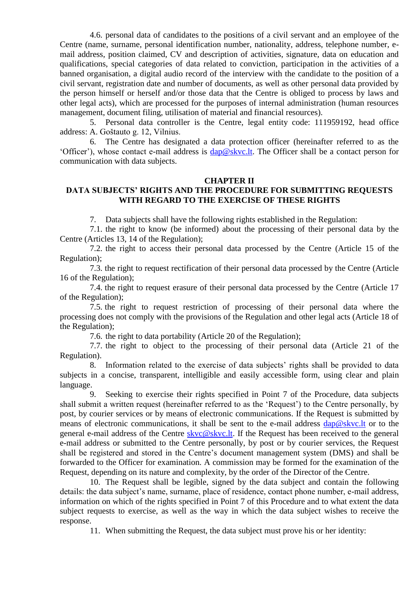4.6. personal data of candidates to the positions of a civil servant and an employee of the Centre (name, surname, personal identification number, nationality, address, telephone number, email address, position claimed, CV and description of activities, signature, data on education and qualifications, special categories of data related to conviction, participation in the activities of a banned organisation, a digital audio record of the interview with the candidate to the position of a civil servant, registration date and number of documents, as well as other personal data provided by the person himself or herself and/or those data that the Centre is obliged to process by laws and other legal acts), which are processed for the purposes of internal administration (human resources management, document filing, utilisation of material and financial resources).

5. Personal data controller is the Centre, legal entity code: 111959192, head office address: A. Goštauto g. 12, Vilnius.

6. The Centre has designated a data protection officer (hereinafter referred to as the 'Officer'), whose contact e-mail address is [dap@skvc.lt.](mailto:dap@skvc.lt) The Officer shall be a contact person for communication with data subjects.

#### **CHAPTER II**

### **DATA SUBJECTS' RIGHTS AND THE PROCEDURE FOR SUBMITTING REQUESTS WITH REGARD TO THE EXERCISE OF THESE RIGHTS**

7. Data subjects shall have the following rights established in the Regulation:

7.1. the right to know (be informed) about the processing of their personal data by the Centre (Articles 13, 14 of the Regulation);

7.2. the right to access their personal data processed by the Centre (Article 15 of the Regulation);

7.3. the right to request rectification of their personal data processed by the Centre (Article 16 of the Regulation);

7.4. the right to request erasure of their personal data processed by the Centre (Article 17 of the Regulation);

7.5. the right to request restriction of processing of their personal data where the processing does not comply with the provisions of the Regulation and other legal acts (Article 18 of the Regulation);

7.6. the right to data portability (Article 20 of the Regulation);

7.7. the right to object to the processing of their personal data (Article 21 of the Regulation).

Information related to the exercise of data subjects' rights shall be provided to data subjects in a concise, transparent, intelligible and easily accessible form, using clear and plain language.

9. Seeking to exercise their rights specified in Point 7 of the Procedure, data subjects shall submit a written request (hereinafter referred to as the 'Request') to the Centre personally, by post, by courier services or by means of electronic communications. If the Request is submitted by means of electronic communications, it shall be sent to the e-mail address  $\text{dap@skvc}$ . It or to the general e-mail address of the Centre [skvc@skvc.lt.](mailto:skvc@skvc.lt) If the Request has been received to the general e-mail address or submitted to the Centre personally, by post or by courier services, the Request shall be registered and stored in the Centre's document management system (DMS) and shall be forwarded to the Officer for examination. A commission may be formed for the examination of the Request, depending on its nature and complexity, by the order of the Director of the Centre.

10. The Request shall be legible, signed by the data subject and contain the following details: the data subject's name, surname, place of residence, contact phone number, e-mail address, information on which of the rights specified in Point 7 of this Procedure and to what extent the data subject requests to exercise, as well as the way in which the data subject wishes to receive the response.

11. When submitting the Request, the data subject must prove his or her identity: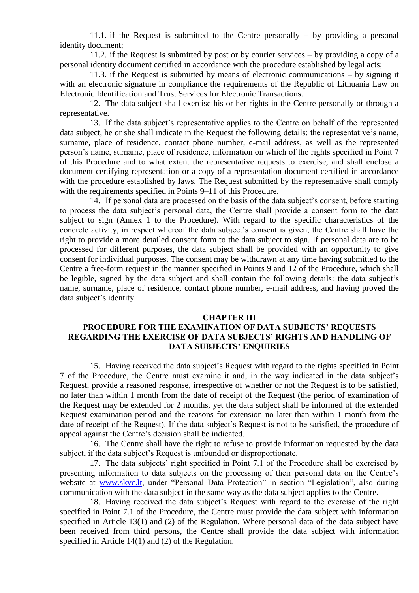11.1. if the Request is submitted to the Centre personally  $-$  by providing a personal identity document;

11.2. if the Request is submitted by post or by courier services – by providing a copy of a personal identity document certified in accordance with the procedure established by legal acts;

11.3. if the Request is submitted by means of electronic communications – by signing it with an electronic signature in compliance the requirements of the Republic of Lithuania Law on Electronic Identification and Trust Services for Electronic Transactions.

12. The data subject shall exercise his or her rights in the Centre personally or through a representative.

13. If the data subject's representative applies to the Centre on behalf of the represented data subject, he or she shall indicate in the Request the following details: the representative's name, surname, place of residence, contact phone number, e-mail address, as well as the represented person's name, surname, place of residence, information on which of the rights specified in Point 7 of this Procedure and to what extent the representative requests to exercise, and shall enclose a document certifying representation or a copy of a representation document certified in accordance with the procedure established by laws. The Request submitted by the representative shall comply with the requirements specified in Points 9–11 of this Procedure.

14. If personal data are processed on the basis of the data subject's consent, before starting to process the data subject's personal data, the Centre shall provide a consent form to the data subject to sign (Annex 1 to the Procedure). With regard to the specific characteristics of the concrete activity, in respect whereof the data subject's consent is given, the Centre shall have the right to provide a more detailed consent form to the data subject to sign. If personal data are to be processed for different purposes, the data subject shall be provided with an opportunity to give consent for individual purposes. The consent may be withdrawn at any time having submitted to the Centre a free-form request in the manner specified in Points 9 and 12 of the Procedure, which shall be legible, signed by the data subject and shall contain the following details: the data subject's name, surname, place of residence, contact phone number, e-mail address, and having proved the data subject's identity.

#### **CHAPTER III**

### **PROCEDURE FOR THE EXAMINATION OF DATA SUBJECTS' REQUESTS REGARDING THE EXERCISE OF DATA SUBJECTS' RIGHTS AND HANDLING OF DATA SUBJECTS' ENQUIRIES**

15. Having received the data subject's Request with regard to the rights specified in Point 7 of the Procedure, the Centre must examine it and, in the way indicated in the data subject's Request, provide a reasoned response, irrespective of whether or not the Request is to be satisfied, no later than within 1 month from the date of receipt of the Request (the period of examination of the Request may be extended for 2 months, yet the data subject shall be informed of the extended Request examination period and the reasons for extension no later than within 1 month from the date of receipt of the Request). If the data subject's Request is not to be satisfied, the procedure of appeal against the Centre's decision shall be indicated.

16. The Centre shall have the right to refuse to provide information requested by the data subject, if the data subject's Request is unfounded or disproportionate.

17. The data subjects' right specified in Point 7.1 of the Procedure shall be exercised by presenting information to data subjects on the processing of their personal data on the Centre's website at [www.skvc.lt,](http://www.skvc.lt/) under "Personal Data Protection" in section "Legislation", also during communication with the data subject in the same way as the data subject applies to the Centre.

18. Having received the data subject's Request with regard to the exercise of the right specified in Point 7.1 of the Procedure, the Centre must provide the data subject with information specified in Article 13(1) and (2) of the Regulation. Where personal data of the data subject have been received from third persons, the Centre shall provide the data subject with information specified in Article 14(1) and (2) of the Regulation.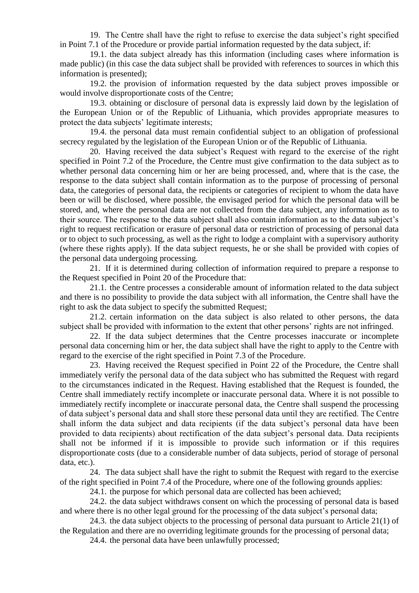19. The Centre shall have the right to refuse to exercise the data subject's right specified in Point 7.1 of the Procedure or provide partial information requested by the data subject, if:

19.1. the data subject already has this information (including cases where information is made public) (in this case the data subject shall be provided with references to sources in which this information is presented);

19.2. the provision of information requested by the data subject proves impossible or would involve disproportionate costs of the Centre;

19.3. obtaining or disclosure of personal data is expressly laid down by the legislation of the European Union or of the Republic of Lithuania, which provides appropriate measures to protect the data subjects' legitimate interests;

19.4. the personal data must remain confidential subject to an obligation of professional secrecy regulated by the legislation of the European Union or of the Republic of Lithuania.

20. Having received the data subject's Request with regard to the exercise of the right specified in Point 7.2 of the Procedure, the Centre must give confirmation to the data subject as to whether personal data concerning him or her are being processed, and, where that is the case, the response to the data subject shall contain information as to the purpose of processing of personal data, the categories of personal data, the recipients or categories of recipient to whom the data have been or will be disclosed, where possible, the envisaged period for which the personal data will be stored, and, where the personal data are not collected from the data subject, any information as to their source. The response to the data subject shall also contain information as to the data subject's right to request rectification or erasure of personal data or restriction of processing of personal data or to object to such processing, as well as the right to lodge a complaint with a supervisory authority (where these rights apply). If the data subject requests, he or she shall be provided with copies of the personal data undergoing processing.

21. If it is determined during collection of information required to prepare a response to the Request specified in Point 20 of the Procedure that:

21.1. the Centre processes a considerable amount of information related to the data subject and there is no possibility to provide the data subject with all information, the Centre shall have the right to ask the data subject to specify the submitted Request;

21.2. certain information on the data subject is also related to other persons, the data subject shall be provided with information to the extent that other persons' rights are not infringed.

22. If the data subject determines that the Centre processes inaccurate or incomplete personal data concerning him or her, the data subject shall have the right to apply to the Centre with regard to the exercise of the right specified in Point 7.3 of the Procedure.

23. Having received the Request specified in Point 22 of the Procedure, the Centre shall immediately verify the personal data of the data subject who has submitted the Request with regard to the circumstances indicated in the Request. Having established that the Request is founded, the Centre shall immediately rectify incomplete or inaccurate personal data. Where it is not possible to immediately rectify incomplete or inaccurate personal data, the Centre shall suspend the processing of data subject's personal data and shall store these personal data until they are rectified. The Centre shall inform the data subject and data recipients (if the data subject's personal data have been provided to data recipients) about rectification of the data subject's personal data. Data recipients shall not be informed if it is impossible to provide such information or if this requires disproportionate costs (due to a considerable number of data subjects, period of storage of personal data, etc.).

24. The data subject shall have the right to submit the Request with regard to the exercise of the right specified in Point 7.4 of the Procedure, where one of the following grounds applies:

24.1. the purpose for which personal data are collected has been achieved;

24.2. the data subject withdraws consent on which the processing of personal data is based and where there is no other legal ground for the processing of the data subject's personal data;

24.3. the data subject objects to the processing of personal data pursuant to Article 21(1) of the Regulation and there are no overriding legitimate grounds for the processing of personal data;

24.4. the personal data have been unlawfully processed;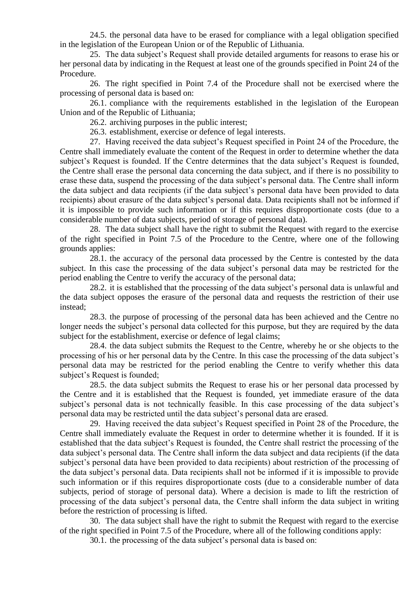24.5. the personal data have to be erased for compliance with a legal obligation specified in the legislation of the European Union or of the Republic of Lithuania.

25. The data subject's Request shall provide detailed arguments for reasons to erase his or her personal data by indicating in the Request at least one of the grounds specified in Point 24 of the Procedure.

26. The right specified in Point 7.4 of the Procedure shall not be exercised where the processing of personal data is based on:

26.1. compliance with the requirements established in the legislation of the European Union and of the Republic of Lithuania;

26.2. archiving purposes in the public interest;

26.3. establishment, exercise or defence of legal interests.

27. Having received the data subject's Request specified in Point 24 of the Procedure, the Centre shall immediately evaluate the content of the Request in order to determine whether the data subject's Request is founded. If the Centre determines that the data subject's Request is founded, the Centre shall erase the personal data concerning the data subject, and if there is no possibility to erase these data, suspend the processing of the data subject's personal data. The Centre shall inform the data subject and data recipients (if the data subject's personal data have been provided to data recipients) about erasure of the data subject's personal data. Data recipients shall not be informed if it is impossible to provide such information or if this requires disproportionate costs (due to a considerable number of data subjects, period of storage of personal data).

28. The data subject shall have the right to submit the Request with regard to the exercise of the right specified in Point 7.5 of the Procedure to the Centre, where one of the following grounds applies:

28.1. the accuracy of the personal data processed by the Centre is contested by the data subject. In this case the processing of the data subject's personal data may be restricted for the period enabling the Centre to verify the accuracy of the personal data;

28.2. it is established that the processing of the data subject's personal data is unlawful and the data subject opposes the erasure of the personal data and requests the restriction of their use instead;

28.3. the purpose of processing of the personal data has been achieved and the Centre no longer needs the subject's personal data collected for this purpose, but they are required by the data subject for the establishment, exercise or defence of legal claims;

28.4. the data subject submits the Request to the Centre, whereby he or she objects to the processing of his or her personal data by the Centre. In this case the processing of the data subject's personal data may be restricted for the period enabling the Centre to verify whether this data subject's Request is founded;

28.5. the data subject submits the Request to erase his or her personal data processed by the Centre and it is established that the Request is founded, yet immediate erasure of the data subject's personal data is not technically feasible. In this case processing of the data subject's personal data may be restricted until the data subject's personal data are erased.

29. Having received the data subject's Request specified in Point 28 of the Procedure, the Centre shall immediately evaluate the Request in order to determine whether it is founded. If it is established that the data subject's Request is founded, the Centre shall restrict the processing of the data subject's personal data. The Centre shall inform the data subject and data recipients (if the data subject's personal data have been provided to data recipients) about restriction of the processing of the data subject's personal data. Data recipients shall not be informed if it is impossible to provide such information or if this requires disproportionate costs (due to a considerable number of data subjects, period of storage of personal data). Where a decision is made to lift the restriction of processing of the data subject's personal data, the Centre shall inform the data subject in writing before the restriction of processing is lifted.

30. The data subject shall have the right to submit the Request with regard to the exercise of the right specified in Point 7.5 of the Procedure, where all of the following conditions apply:

30.1. the processing of the data subject's personal data is based on: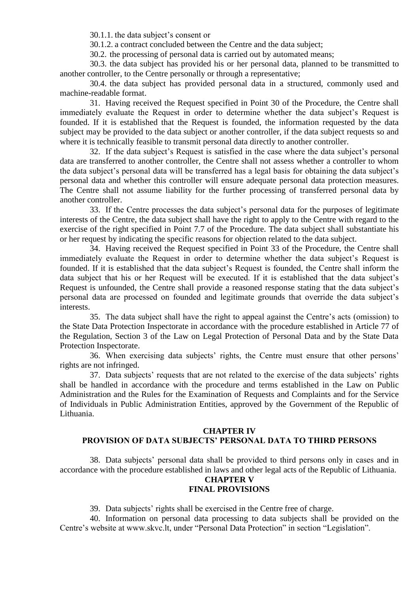30.1.1. the data subject's consent or

30.1.2. a contract concluded between the Centre and the data subject;

30.2. the processing of personal data is carried out by automated means;

30.3. the data subject has provided his or her personal data, planned to be transmitted to another controller, to the Centre personally or through a representative;

30.4. the data subject has provided personal data in a structured, commonly used and machine-readable format.

31. Having received the Request specified in Point 30 of the Procedure, the Centre shall immediately evaluate the Request in order to determine whether the data subject's Request is founded. If it is established that the Request is founded, the information requested by the data subject may be provided to the data subject or another controller, if the data subject requests so and where it is technically feasible to transmit personal data directly to another controller.

32. If the data subject's Request is satisfied in the case where the data subject's personal data are transferred to another controller, the Centre shall not assess whether a controller to whom the data subject's personal data will be transferred has a legal basis for obtaining the data subject's personal data and whether this controller will ensure adequate personal data protection measures. The Centre shall not assume liability for the further processing of transferred personal data by another controller.

33. If the Centre processes the data subject's personal data for the purposes of legitimate interests of the Centre, the data subject shall have the right to apply to the Centre with regard to the exercise of the right specified in Point 7.7 of the Procedure. The data subject shall substantiate his or her request by indicating the specific reasons for objection related to the data subject.

34. Having received the Request specified in Point 33 of the Procedure, the Centre shall immediately evaluate the Request in order to determine whether the data subject's Request is founded. If it is established that the data subject's Request is founded, the Centre shall inform the data subject that his or her Request will be executed. If it is established that the data subject's Request is unfounded, the Centre shall provide a reasoned response stating that the data subject's personal data are processed on founded and legitimate grounds that override the data subject's interests.

35. The data subject shall have the right to appeal against the Centre's acts (omission) to the State Data Protection Inspectorate in accordance with the procedure established in Article 77 of the Regulation, Section 3 of the Law on Legal Protection of Personal Data and by the State Data Protection Inspectorate.

36. When exercising data subjects' rights, the Centre must ensure that other persons' rights are not infringed.

37. Data subjects' requests that are not related to the exercise of the data subjects' rights shall be handled in accordance with the procedure and terms established in the Law on Public Administration and the Rules for the Examination of Requests and Complaints and for the Service of Individuals in Public Administration Entities, approved by the Government of the Republic of Lithuania.

#### **CHAPTER IV**

# **PROVISION OF DATA SUBJECTS' PERSONAL DATA TO THIRD PERSONS**

38. Data subjects' personal data shall be provided to third persons only in cases and in accordance with the procedure established in laws and other legal acts of the Republic of Lithuania.

# **CHAPTER V**

# **FINAL PROVISIONS**

39. Data subjects' rights shall be exercised in the Centre free of charge.

40. Information on personal data processing to data subjects shall be provided on the Centre's website at www.skvc.lt, under "Personal Data Protection" in section "Legislation".